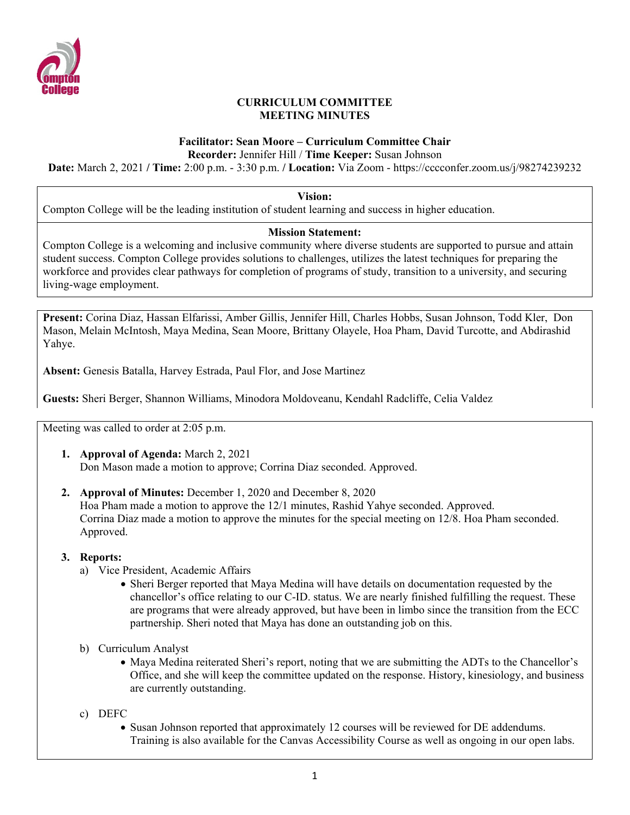

## **CURRICULUM COMMITTEE MEETING MINUTES**

# **Facilitator: Sean Moore – Curriculum Committee Chair**

**Recorder:** Jennifer Hill / **Time Keeper:** Susan Johnson

**Date:** March 2, 2021 **/ Time:** 2:00 p.m. - 3:30 p.m. **/ Location:** Via Zoom - https://cccconfer.zoom.us/j/98274239232

**Vision:**

Compton College will be the leading institution of student learning and success in higher education.

## **Mission Statement:**

Compton College is a welcoming and inclusive community where diverse students are supported to pursue and attain student success. Compton College provides solutions to challenges, utilizes the latest techniques for preparing the workforce and provides clear pathways for completion of programs of study, transition to a university, and securing living-wage employment.

**Present:** Corina Diaz, Hassan Elfarissi, Amber Gillis, Jennifer Hill, Charles Hobbs, Susan Johnson, Todd Kler, Don Mason, Melain McIntosh, Maya Medina, Sean Moore, Brittany Olayele, Hoa Pham, David Turcotte, and Abdirashid Yahye.

**Absent:** Genesis Batalla, Harvey Estrada, Paul Flor, and Jose Martinez

**Guests:** Sheri Berger, Shannon Williams, Minodora Moldoveanu, Kendahl Radcliffe, Celia Valdez

Meeting was called to order at 2:05 p.m.

- **1. Approval of Agenda:** March 2, 2021 Don Mason made a motion to approve; Corrina Diaz seconded. Approved.
- **2. Approval of Minutes:** December 1, 2020 and December 8, 2020 Hoa Pham made a motion to approve the 12/1 minutes, Rashid Yahye seconded. Approved. Corrina Diaz made a motion to approve the minutes for the special meeting on 12/8. Hoa Pham seconded. Approved.

## **3. Reports:**

- a) Vice President, Academic Affairs
	- Sheri Berger reported that Maya Medina will have details on documentation requested by the chancellor's office relating to our C-ID. status. We are nearly finished fulfilling the request. These are programs that were already approved, but have been in limbo since the transition from the ECC partnership. Sheri noted that Maya has done an outstanding job on this.
- b) Curriculum Analyst
	- Maya Medina reiterated Sheri's report, noting that we are submitting the ADTs to the Chancellor's Office, and she will keep the committee updated on the response. History, kinesiology, and business are currently outstanding.
- c) DEFC
	- Susan Johnson reported that approximately 12 courses will be reviewed for DE addendums. Training is also available for the Canvas Accessibility Course as well as ongoing in our open labs.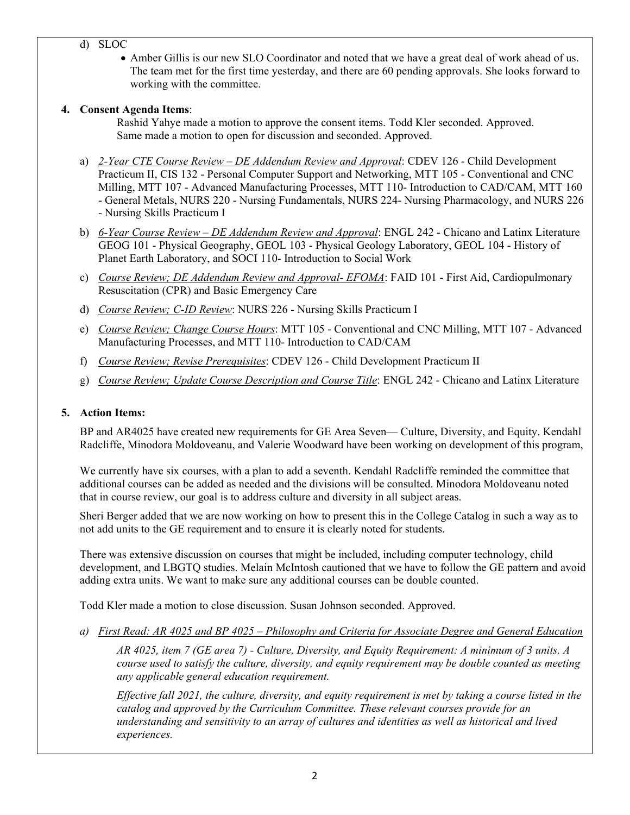## d) SLOC

• Amber Gillis is our new SLO Coordinator and noted that we have a great deal of work ahead of us. The team met for the first time yesterday, and there are 60 pending approvals. She looks forward to working with the committee.

## **4. Consent Agenda Items**:

Rashid Yahye made a motion to approve the consent items. Todd Kler seconded. Approved. Same made a motion to open for discussion and seconded. Approved.

- a) *2-Year CTE Course Review – DE Addendum Review and Approval*: CDEV 126 Child Development Practicum II, CIS 132 - Personal Computer Support and Networking, MTT 105 - Conventional and CNC Milling, MTT 107 - Advanced Manufacturing Processes, MTT 110- Introduction to CAD/CAM, MTT 160 - General Metals, NURS 220 - Nursing Fundamentals, NURS 224- Nursing Pharmacology, and NURS 226 - Nursing Skills Practicum I
- b) *6-Year Course Review – DE Addendum Review and Approval*: ENGL 242 Chicano and Latinx Literature GEOG 101 - Physical Geography, GEOL 103 - Physical Geology Laboratory, GEOL 104 - History of Planet Earth Laboratory, and SOCI 110- Introduction to Social Work
- c) *Course Review; DE Addendum Review and Approval- EFOMA*: FAID 101 First Aid, Cardiopulmonary Resuscitation (CPR) and Basic Emergency Care
- d) *Course Review; C-ID Review*: NURS 226 Nursing Skills Practicum I
- e) *Course Review; Change Course Hours*: MTT 105 Conventional and CNC Milling, MTT 107 Advanced Manufacturing Processes, and MTT 110- Introduction to CAD/CAM
- f) *Course Review; Revise Prerequisites*: CDEV 126 Child Development Practicum II
- g) *Course Review; Update Course Description and Course Title*: ENGL 242 Chicano and Latinx Literature

## **5. Action Items:**

BP and AR4025 have created new requirements for GE Area Seven— Culture, Diversity, and Equity. Kendahl Radcliffe, Minodora Moldoveanu, and Valerie Woodward have been working on development of this program,

We currently have six courses, with a plan to add a seventh. Kendahl Radcliffe reminded the committee that additional courses can be added as needed and the divisions will be consulted. Minodora Moldoveanu noted that in course review, our goal is to address culture and diversity in all subject areas.

Sheri Berger added that we are now working on how to present this in the College Catalog in such a way as to not add units to the GE requirement and to ensure it is clearly noted for students.

There was extensive discussion on courses that might be included, including computer technology, child development, and LBGTQ studies. Melain McIntosh cautioned that we have to follow the GE pattern and avoid adding extra units. We want to make sure any additional courses can be double counted.

Todd Kler made a motion to close discussion. Susan Johnson seconded. Approved.

*a) First Read: AR 4025 and BP 4025 – Philosophy and Criteria for Associate Degree and General Education*

*AR 4025, item 7 (GE area 7) - Culture, Diversity, and Equity Requirement: A minimum of 3 units. A course used to satisfy the culture, diversity, and equity requirement may be double counted as meeting any applicable general education requirement.* 

*Effective fall 2021, the culture, diversity, and equity requirement is met by taking a course listed in the catalog and approved by the Curriculum Committee. These relevant courses provide for an understanding and sensitivity to an array of cultures and identities as well as historical and lived experiences.*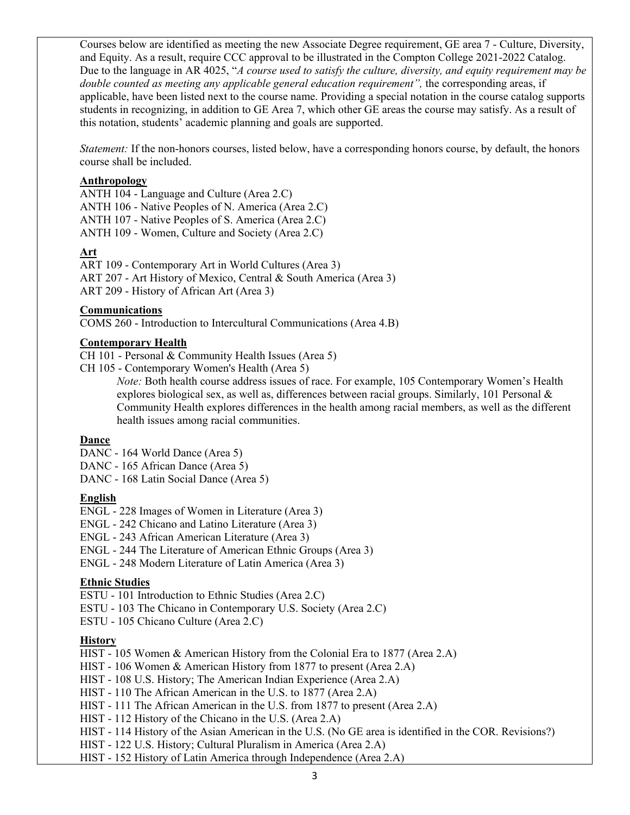Courses below are identified as meeting the new Associate Degree requirement, GE area 7 - Culture, Diversity, and Equity. As a result, require CCC approval to be illustrated in the Compton College 2021-2022 Catalog. Due to the language in AR 4025, "*A course used to satisfy the culture, diversity, and equity requirement may be double counted as meeting any applicable general education requirement"*, the corresponding areas, if applicable, have been listed next to the course name. Providing a special notation in the course catalog supports students in recognizing, in addition to GE Area 7, which other GE areas the course may satisfy. As a result of this notation, students' academic planning and goals are supported.

*Statement:* If the non-honors courses, listed below, have a corresponding honors course, by default, the honors course shall be included.

#### **Anthropology**

ANTH 104 - Language and Culture (Area 2.C) ANTH 106 - Native Peoples of N. America (Area 2.C) ANTH 107 - Native Peoples of S. America (Area 2.C) ANTH 109 - Women, Culture and Society (Area 2.C)

## **Art**

ART 109 - Contemporary Art in World Cultures (Area 3) ART 207 - Art History of Mexico, Central & South America (Area 3) ART 209 - History of African Art (Area 3)

#### **Communications**

COMS 260 - Introduction to Intercultural Communications (Area 4.B)

#### **Contemporary Health**

CH 101 - Personal & Community Health Issues (Area 5)

CH 105 - Contemporary Women's Health (Area 5)

*Note:* Both health course address issues of race. For example, 105 Contemporary Women's Health explores biological sex, as well as, differences between racial groups. Similarly, 101 Personal & Community Health explores differences in the health among racial members, as well as the different health issues among racial communities.

## **Dance**

- DANC 164 World Dance (Area 5)
- DANC 165 African Dance (Area 5)

DANC - 168 Latin Social Dance (Area 5)

#### **English**

ENGL - 228 Images of Women in Literature (Area 3)

- ENGL 242 Chicano and Latino Literature (Area 3)
- ENGL 243 African American Literature (Area 3)
- ENGL 244 The Literature of American Ethnic Groups (Area 3)
- ENGL 248 Modern Literature of Latin America (Area 3)

## **Ethnic Studies**

ESTU - 101 Introduction to Ethnic Studies (Area 2.C)

- ESTU 103 The Chicano in Contemporary U.S. Society (Area 2.C)
- ESTU 105 Chicano Culture (Area 2.C)

## **History**

HIST - 105 Women & American History from the Colonial Era to 1877 (Area 2.A)

HIST - 106 Women & American History from 1877 to present (Area 2.A)

HIST - 108 U.S. History; The American Indian Experience (Area 2.A)

HIST - 110 The African American in the U.S. to 1877 (Area 2.A)

HIST - 111 The African American in the U.S. from 1877 to present (Area 2.A)

HIST - 112 History of the Chicano in the U.S. (Area 2.A)

HIST - 114 History of the Asian American in the U.S. (No GE area is identified in the COR. Revisions?)

HIST - 122 U.S. History; Cultural Pluralism in America (Area 2.A)

HIST - 152 History of Latin America through Independence (Area 2.A)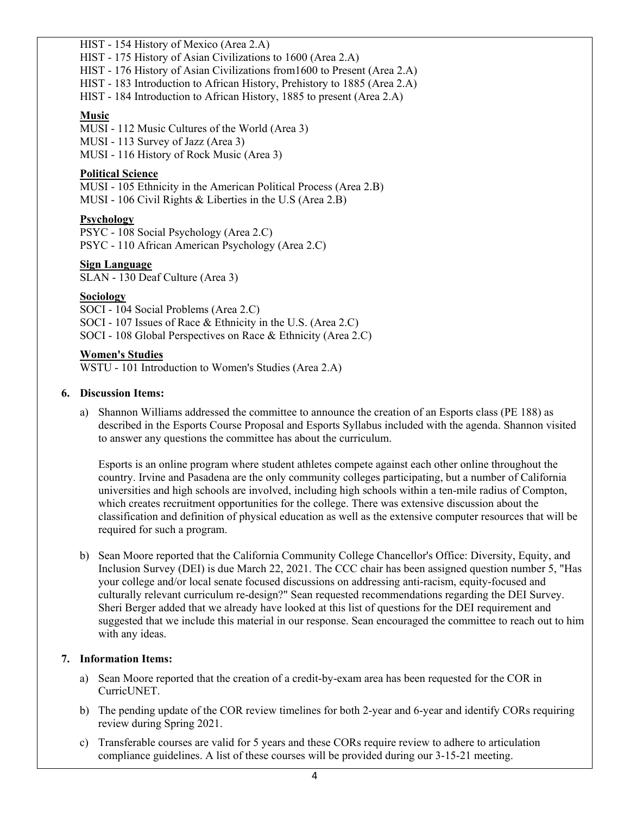HIST - 154 History of Mexico (Area 2.A)

HIST - 175 History of Asian Civilizations to 1600 (Area 2.A)

HIST - 176 History of Asian Civilizations from1600 to Present (Area 2.A)

HIST - 183 Introduction to African History, Prehistory to 1885 (Area 2.A)

HIST - 184 Introduction to African History, 1885 to present (Area 2.A)

## **Music**

MUSI - 112 Music Cultures of the World (Area 3) MUSI - 113 Survey of Jazz (Area 3) MUSI - 116 History of Rock Music (Area 3)

#### **Political Science**

MUSI - 105 Ethnicity in the American Political Process (Area 2.B) MUSI - 106 Civil Rights & Liberties in the U.S (Area 2.B)

#### **Psychology**

PSYC - 108 Social Psychology (Area 2.C) PSYC - 110 African American Psychology (Area 2.C)

#### **Sign Language**

SLAN - 130 Deaf Culture (Area 3)

#### **Sociology**

SOCI - 104 Social Problems (Area 2.C) SOCI - 107 Issues of Race & Ethnicity in the U.S. (Area 2.C) SOCI - 108 Global Perspectives on Race & Ethnicity (Area 2.C)

#### **Women's Studies**

WSTU - 101 Introduction to Women's Studies (Area 2.A)

#### **6. Discussion Items:**

a) Shannon Williams addressed the committee to announce the creation of an Esports class (PE 188) as described in the Esports Course Proposal and Esports Syllabus included with the agenda. Shannon visited to answer any questions the committee has about the curriculum.

Esports is an online program where student athletes compete against each other online throughout the country. Irvine and Pasadena are the only community colleges participating, but a number of California universities and high schools are involved, including high schools within a ten-mile radius of Compton, which creates recruitment opportunities for the college. There was extensive discussion about the classification and definition of physical education as well as the extensive computer resources that will be required for such a program.

b) Sean Moore reported that the California Community College Chancellor's Office: Diversity, Equity, and Inclusion Survey (DEI) is due March 22, 2021. The CCC chair has been assigned question number 5, "Has your college and/or local senate focused discussions on addressing anti-racism, equity-focused and culturally relevant curriculum re-design?" Sean requested recommendations regarding the DEI Survey. Sheri Berger added that we already have looked at this list of questions for the DEI requirement and suggested that we include this material in our response. Sean encouraged the committee to reach out to him with any ideas.

## **7. Information Items:**

- a) Sean Moore reported that the creation of a credit-by-exam area has been requested for the COR in CurricUNET.
- b) The pending update of the COR review timelines for both 2-year and 6-year and identify CORs requiring review during Spring 2021.
- c) Transferable courses are valid for 5 years and these CORs require review to adhere to articulation compliance guidelines. A list of these courses will be provided during our 3-15-21 meeting.